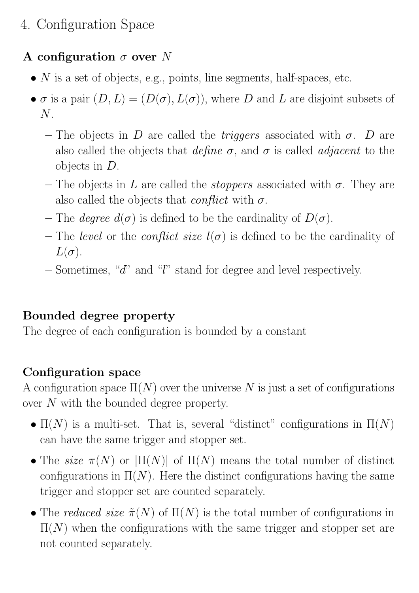## 4. Configuration Space

## A configuration  $\sigma$  over N

- $N$  is a set of objects, e.g., points, line segments, half-spaces, etc.
- $\sigma$  is a pair  $(D, L) = (D(\sigma), L(\sigma))$ , where D and L are disjoint subsets of N.
	- The objects in D are called the *triggers* associated with  $\sigma$ . D are also called the objects that define  $\sigma$ , and  $\sigma$  is called *adjacent* to the objects in D.
	- The objects in L are called the *stoppers* associated with  $\sigma$ . They are also called the objects that *conflict* with  $\sigma$ .
	- The *degree*  $d(\sigma)$  is defined to be the cardinality of  $D(\sigma)$ .
	- The level or the conflict size  $l(\sigma)$  is defined to be the cardinality of  $L(\sigma)$ .
	- Sometimes, "d" and "l" stand for degree and level respectively.

## Bounded degree property

The degree of each configuration is bounded by a constant

## Configuration space

A configuration space  $\Pi(N)$  over the universe N is just a set of configurations over N with the bounded degree property.

- $\Pi(N)$  is a multi-set. That is, several "distinct" configurations in  $\Pi(N)$ can have the same trigger and stopper set.
- The size  $\pi(N)$  or  $|\Pi(N)|$  of  $\Pi(N)$  means the total number of distinct configurations in  $\Pi(N)$ . Here the distinct configurations having the same trigger and stopper set are counted separately.
- The reduced size  $\tilde{\pi}(N)$  of  $\Pi(N)$  is the total number of configurations in  $\Pi(N)$  when the configurations with the same trigger and stopper set are not counted separately.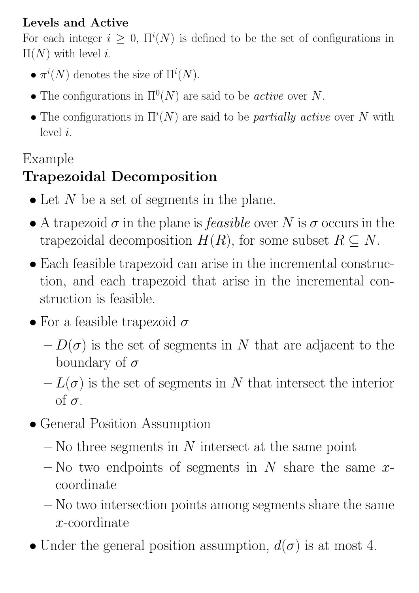## Levels and Active

For each integer  $i \geq 0$ ,  $\Pi^{i}(N)$  is defined to be the set of configurations in  $\Pi(N)$  with level *i*.

- $\pi^i(N)$  denotes the size of  $\Pi^i(N)$ .
- The configurations in  $\Pi^0(N)$  are said to be *active* over N.
- The configurations in  $\Pi^{i}(N)$  are said to be *partially active* over N with level i.

## Example

# Trapezoidal Decomposition

- Let  $N$  be a set of segments in the plane.
- A trapezoid  $\sigma$  in the plane is *feasible* over N is  $\sigma$  occurs in the trapezoidal decomposition  $H(R)$ , for some subset  $R \subseteq N$ .
- Each feasible trapezoid can arise in the incremental construction, and each trapezoid that arise in the incremental construction is feasible.
- For a feasible trapezoid  $\sigma$ 
	- $-D(\sigma)$  is the set of segments in N that are adjacent to the boundary of  $\sigma$
	- $-L(\sigma)$  is the set of segments in N that intersect the interior of  $\sigma$ .
- General Position Assumption
	- $-$  No three segments in N intersect at the same point
	- No two endpoints of segments in  $N$  share the same  $x$ coordinate
	- No two intersection points among segments share the same x-coordinate
- Under the general position assumption,  $d(\sigma)$  is at most 4.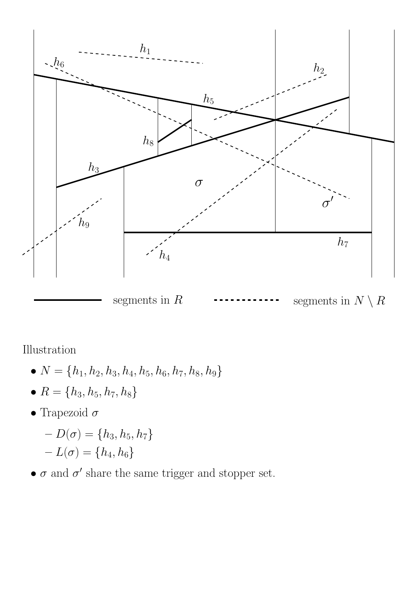

Illustration

- $N = \{h_1, h_2, h_3, h_4, h_5, h_6, h_7, h_8, h_9\}$
- $R = \{h_3, h_5, h_7, h_8\}$
- Trapezoid $\sigma$ 
	- $-D(\sigma) = \{h_3, h_5, h_7\}$  $-L(\sigma)=\{h_4,h_6\}$
- $\bullet$   $\sigma$  and  $\sigma'$  share the same trigger and stopper set.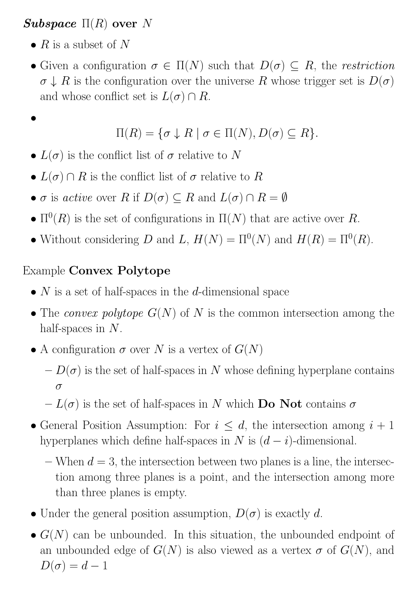#### Subspace  $\Pi(R)$  over N

•  $R$  is a subset of N

•

• Given a configuration  $\sigma \in \Pi(N)$  such that  $D(\sigma) \subseteq R$ , the restriction  $\sigma \downarrow R$  is the configuration over the universe R whose trigger set is  $D(\sigma)$ and whose conflict set is  $L(\sigma) \cap R$ .

$$
\Pi(R) = \{ \sigma \downarrow R \mid \sigma \in \Pi(N), D(\sigma) \subseteq R \}.
$$

- $L(\sigma)$  is the conflict list of  $\sigma$  relative to N
- $L(\sigma) \cap R$  is the conflict list of  $\sigma$  relative to R
- $\sigma$  is active over R if  $D(\sigma) \subseteq R$  and  $L(\sigma) \cap R = \emptyset$
- $\Pi^0(R)$  is the set of configurations in  $\Pi(N)$  that are active over R.
- Without considering D and L,  $H(N) = \Pi^{0}(N)$  and  $H(R) = \Pi^{0}(R)$ .

### Example Convex Polytope

- $N$  is a set of half-spaces in the d-dimensional space
- The convex polytope  $G(N)$  of N is the common intersection among the half-spaces in  $N$ .
- A configuration  $\sigma$  over N is a vertex of  $G(N)$ 
	- $-D(\sigma)$  is the set of half-spaces in N whose defining hyperplane contains σ
	- $-L(\sigma)$  is the set of half-spaces in N which **Do Not** contains  $\sigma$
- General Position Assumption: For  $i \leq d$ , the intersection among  $i + 1$ hyperplanes which define half-spaces in N is  $(d - i)$ -dimensional.
	- When  $d = 3$ , the intersection between two planes is a line, the intersection among three planes is a point, and the intersection among more than three planes is empty.
- Under the general position assumption,  $D(\sigma)$  is exactly d.
- $G(N)$  can be unbounded. In this situation, the unbounded endpoint of an unbounded edge of  $G(N)$  is also viewed as a vertex  $\sigma$  of  $G(N)$ , and  $D(\sigma) = d - 1$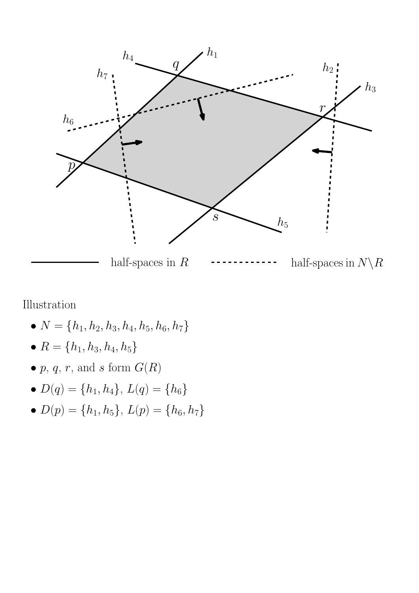

Illustration

- $N = \{h_1, h_2, h_3, h_4, h_5, h_6, h_7\}$
- $R = \{h_1, h_3, h_4, h_5\}$
- $p, q, r$ , and s form  $G(R)$
- $D(q) = \{h_1, h_4\}, L(q) = \{h_6\}$
- $D(p) = \{h_1, h_5\}, L(p) = \{h_6, h_7\}$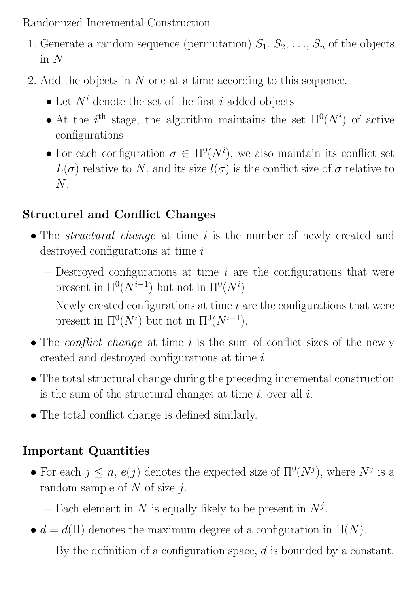Randomized Incremental Construction

- 1. Generate a random sequence (permutation)  $S_1, S_2, \ldots, S_n$  of the objects in  $N$
- 2. Add the objects in N one at a time according to this sequence.
	- Let  $N^i$  denote the set of the first i added objects
	- At the i<sup>th</sup> stage, the algorithm maintains the set  $\Pi^0(N^i)$  of active configurations
	- For each configuration  $\sigma \in \Pi^0(N^i)$ , we also maintain its conflict set  $L(\sigma)$  relative to N, and its size  $l(\sigma)$  is the conflict size of  $\sigma$  relative to  $N$ .

#### Structurel and Conflict Changes

- The *structural change* at time i is the number of newly created and destroyed configurations at time  $i$ 
	- $-$  Destroyed configurations at time  $i$  are the configurations that were present in  $\Pi^0(N^{i-1})$  but not in  $\Pi^0(N^i)$
	- $-$  Newly created configurations at time  $i$  are the configurations that were present in  $\Pi^0(N^i)$  but not in  $\Pi^0(N^{i-1})$ .
- The *conflict change* at time  $i$  is the sum of conflict sizes of the newly created and destroyed configurations at time i
- The total structural change during the preceding incremental construction is the sum of the structural changes at time  $i$ , over all  $i$ .
- The total conflict change is defined similarly.

### Important Quantities

- For each  $j \leq n$ ,  $e(j)$  denotes the expected size of  $\Pi^0(N^j)$ , where  $N^j$  is a random sample of  $N$  of size  $j$ .
	- Each element in N is equally likely to be present in  $N^j$ .
- $d = d(\Pi)$  denotes the maximum degree of a configuration in  $\Pi(N)$ .
	- $-$  By the definition of a configuration space, d is bounded by a constant.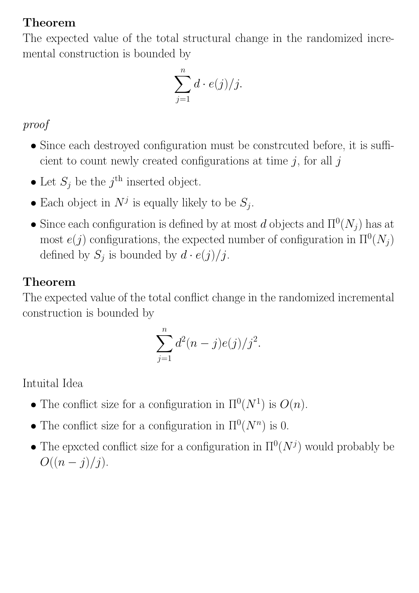#### Theorem

The expected value of the total structural change in the randomized incremental construction is bounded by

$$
\sum_{j=1}^n d \cdot e(j)/j.
$$

proof

- Since each destroyed configuration must be constrcuted before, it is sufficient to count newly created configurations at time  $j$ , for all  $j$
- Let  $S_j$  be the  $j^{\text{th}}$  inserted object.
- Each object in  $N^j$  is equally likely to be  $S_j$ .
- Since each configuration is defined by at most d objects and  $\Pi^0(N_j)$  has at most  $e(j)$  configurations, the expected number of configuration in  $\Pi^0(N_j)$ defined by  $S_j$  is bounded by  $d \cdot e(j)/j$ .

## Theorem

The expected value of the total conflict change in the randomized incremental construction is bounded by

$$
\sum_{j=1}^{n} d^{2}(n-j)e(j)/j^{2}.
$$

Intuital Idea

- The conflict size for a configuration in  $\Pi^0(N^1)$  is  $O(n)$ .
- The conflict size for a configuration in  $\Pi^0(N^n)$  is 0.
- The epxcted conflict size for a configuration in  $\Pi^0(N^j)$  would probably be  $O((n-j)/j).$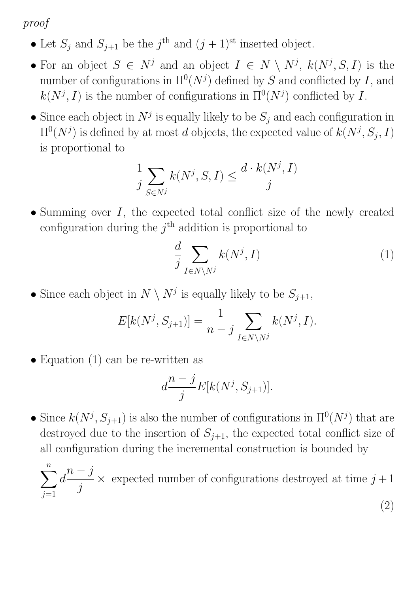proof

- Let  $S_j$  and  $S_{j+1}$  be the  $j^{\text{th}}$  and  $(j+1)^{\text{st}}$  inserted object.
- For an object  $S \in N^j$  and an object  $I \in N \setminus N^j$ ,  $k(N^j, S, I)$  is the number of configurations in  $\Pi^0(N^j)$  defined by S and conflicted by I, and  $k(N^j, I)$  is the number of configurations in  $\Pi^0(N^j)$  conflicted by I.
- Since each object in  $N^j$  is equally likely to be  $S_j$  and each configuration in  $\Pi^0(N^j)$  is defined by at most d objects, the expected value of  $k(N^j, S_j, I)$ is proportional to

$$
\frac{1}{j}\sum_{S\in N^j}k(N^j,S,I)\leq \frac{d\cdot k(N^j,I)}{j}
$$

• Summing over  $I$ , the expected total conflict size of the newly created configuration during the  $j<sup>th</sup>$  addition is proportional to

$$
\frac{d}{j} \sum_{I \in N \setminus N^j} k(N^j, I) \tag{1}
$$

• Since each object in  $N \setminus N^j$  is equally likely to be  $S_{j+1}$ ,

$$
E[k(N^{j}, S_{j+1})] = \frac{1}{n-j} \sum_{I \in N \setminus N^{j}} k(N^{j}, I).
$$

• Equation (1) can be re-written as

$$
d\frac{n-j}{j}E[k(N^j, S_{j+1})].
$$

• Since  $k(N^j, S_{j+1})$  is also the number of configurations in  $\Pi^0(N^j)$  that are destroyed due to the insertion of  $S_{j+1}$ , the expected total conflict size of all configuration during the incremental construction is bounded by

 $\sum$ n  $j=1$  $\overline{d}$  $n - j$ j  $\times$  expected number of configurations destroyed at time  $j+1$ (2)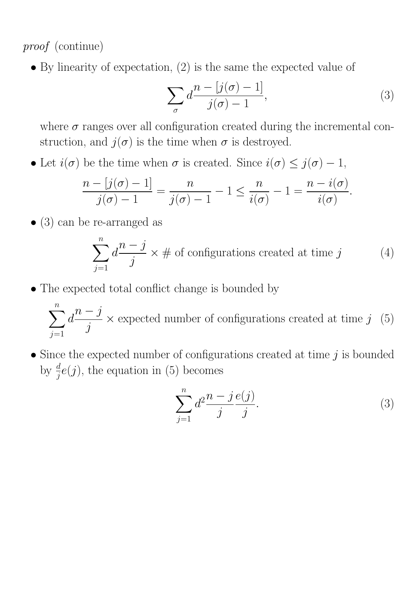proof (continue)

• By linearity of expectation, (2) is the same the expected value of

$$
\sum_{\sigma} d \frac{n - [j(\sigma) - 1]}{j(\sigma) - 1},\tag{3}
$$

where  $\sigma$  ranges over all configuration created during the incremental construction, and  $j(\sigma)$  is the time when  $\sigma$  is destroyed.

• Let  $i(\sigma)$  be the time when  $\sigma$  is created. Since  $i(\sigma) \leq j(\sigma) - 1$ ,

$$
\frac{n - [j(\sigma) - 1]}{j(\sigma) - 1} = \frac{n}{j(\sigma) - 1} - 1 \le \frac{n}{i(\sigma)} - 1 = \frac{n - i(\sigma)}{i(\sigma)}.
$$

• (3) can be re-arranged as

$$
\sum_{j=1}^{n} d \frac{n-j}{j} \times \# \text{ of configurations created at time } j \tag{4}
$$

• The expected total conflict change is bounded by

 $\sum$  $\overline{n}$  $j=1$  $\overline{d}$  $n - j$ j  $\times$  expected number of configurations created at time j (5)

• Since the expected number of configurations created at time  $j$  is bounded by  $\frac{d}{j}e(j)$ , the equation in (5) becomes

$$
\sum_{j=1}^{n} d^{2} \frac{n-j \, e(j)}{j}.\tag{3}
$$